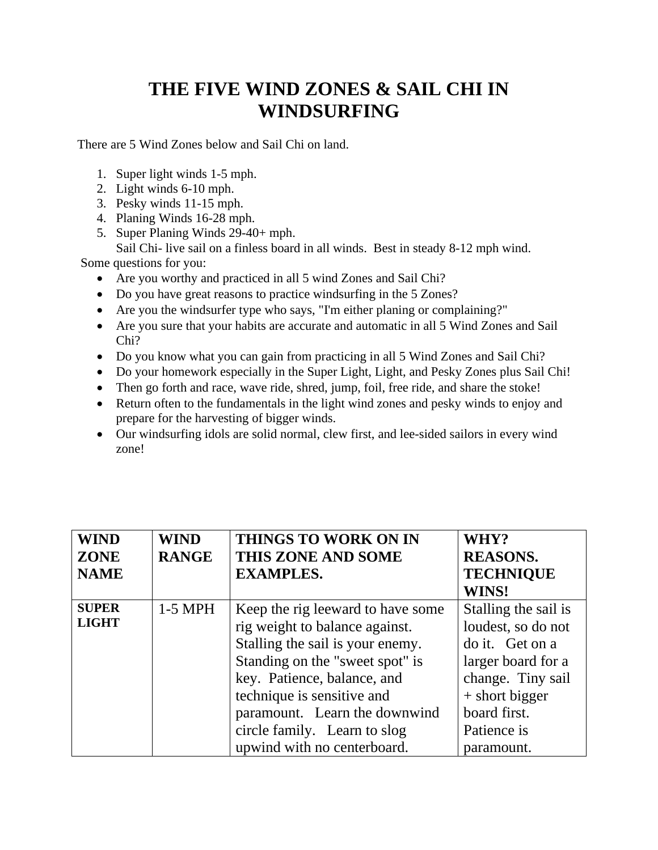## **THE FIVE WIND ZONES & SAIL CHI IN WINDSURFING**

There are 5 Wind Zones below and Sail Chi on land.

- 1. Super light winds 1-5 mph.
- 2. Light winds 6-10 mph.
- 3. Pesky winds 11-15 mph.
- 4. Planing Winds 16-28 mph.
- 5. Super Planing Winds 29-40+ mph.

Sail Chi- live sail on a finless board in all winds. Best in steady 8-12 mph wind. Some questions for you:

- Are you worthy and practiced in all 5 wind Zones and Sail Chi?
- Do you have great reasons to practice windsurfing in the 5 Zones?
- Are you the windsurfer type who says, "I'm either planing or complaining?"
- Are you sure that your habits are accurate and automatic in all 5 Wind Zones and Sail Chi?
- Do you know what you can gain from practicing in all 5 Wind Zones and Sail Chi?
- Do your homework especially in the Super Light, Light, and Pesky Zones plus Sail Chi!
- Then go forth and race, wave ride, shred, jump, foil, free ride, and share the stoke!
- Return often to the fundamentals in the light wind zones and pesky winds to enjoy and prepare for the harvesting of bigger winds.
- Our windsurfing idols are solid normal, clew first, and lee-sided sailors in every wind zone!

| <b>WIND</b>  | <b>WIND</b>  | <b>THINGS TO WORK ON IN</b>       | WHY?                 |
|--------------|--------------|-----------------------------------|----------------------|
| <b>ZONE</b>  | <b>RANGE</b> | THIS ZONE AND SOME                | <b>REASONS.</b>      |
| <b>NAME</b>  |              | <b>EXAMPLES.</b>                  | <b>TECHNIQUE</b>     |
|              |              |                                   | WINS!                |
| <b>SUPER</b> | $1-5$ MPH    | Keep the rig leeward to have some | Stalling the sail is |
| <b>LIGHT</b> |              | rig weight to balance against.    | loudest, so do not   |
|              |              | Stalling the sail is your enemy.  | do it. Get on a      |
|              |              | Standing on the "sweet spot" is   | larger board for a   |
|              |              | key. Patience, balance, and       | change. Tiny sail    |
|              |              | technique is sensitive and        | $+$ short bigger     |
|              |              | paramount. Learn the downwind     | board first.         |
|              |              | circle family. Learn to slog      | Patience is          |
|              |              | upwind with no centerboard.       | paramount.           |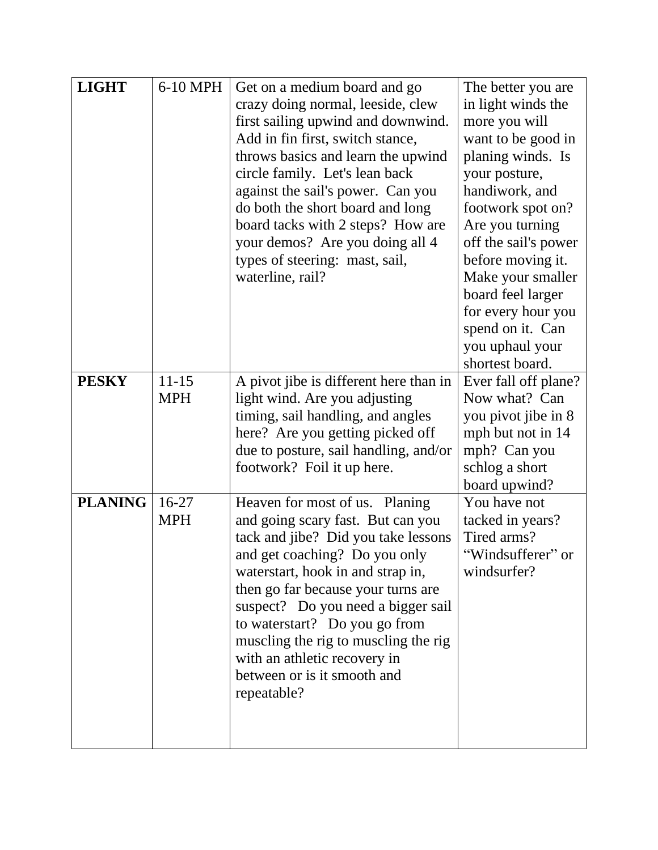| <b>LIGHT</b>   | 6-10 MPH                | Get on a medium board and go<br>crazy doing normal, leeside, clew<br>first sailing upwind and downwind.<br>Add in fin first, switch stance,<br>throws basics and learn the upwind<br>circle family. Let's lean back<br>against the sail's power. Can you<br>do both the short board and long<br>board tacks with 2 steps? How are<br>your demos? Are you doing all 4<br>types of steering: mast, sail,<br>waterline, rail? | The better you are<br>in light winds the<br>more you will<br>want to be good in<br>planing winds. Is<br>your posture,<br>handiwork, and<br>footwork spot on?<br>Are you turning<br>off the sail's power<br>before moving it.<br>Make your smaller<br>board feel larger<br>for every hour you<br>spend on it. Can<br>you uphaul your<br>shortest board. |
|----------------|-------------------------|----------------------------------------------------------------------------------------------------------------------------------------------------------------------------------------------------------------------------------------------------------------------------------------------------------------------------------------------------------------------------------------------------------------------------|--------------------------------------------------------------------------------------------------------------------------------------------------------------------------------------------------------------------------------------------------------------------------------------------------------------------------------------------------------|
| <b>PESKY</b>   | $11 - 15$<br><b>MPH</b> | A pivot jibe is different here than in<br>light wind. Are you adjusting<br>timing, sail handling, and angles<br>here? Are you getting picked off<br>due to posture, sail handling, and/or<br>footwork? Foil it up here.                                                                                                                                                                                                    | Ever fall off plane?<br>Now what? Can<br>you pivot jibe in 8<br>mph but not in 14<br>mph? Can you<br>schlog a short<br>board upwind?                                                                                                                                                                                                                   |
| <b>PLANING</b> | $16-27$<br><b>MPH</b>   | Heaven for most of us. Planing<br>and going scary fast. But can you<br>tack and jibe? Did you take lessons<br>and get coaching? Do you only<br>waterstart, hook in and strap in,<br>then go far because your turns are<br>suspect? Do you need a bigger sail<br>to waterstart? Do you go from<br>muscling the rig to muscling the rig<br>with an athletic recovery in<br>between or is it smooth and<br>repeatable?        | You have not<br>tacked in years?<br>Tired arms?<br>"Windsufferer" or<br>windsurfer?                                                                                                                                                                                                                                                                    |